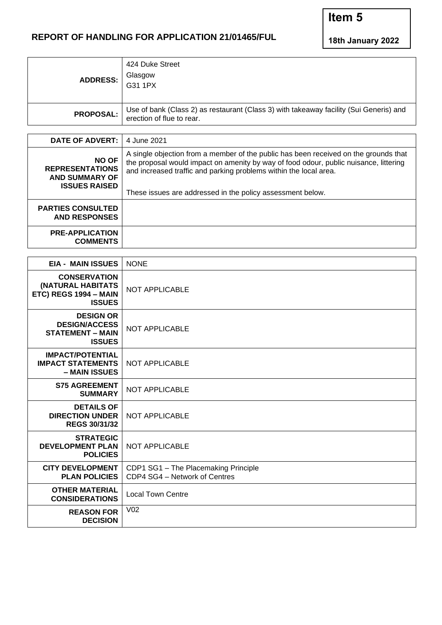## **REPORT OF HANDLING FOR APPLICATION 21/01465/FUL**

**18th January 2022**

**Item 5**

| ADDRESS:         | 424 Duke Street<br>Glasgow<br>G31 1PX                                                                            |
|------------------|------------------------------------------------------------------------------------------------------------------|
| <b>PROPOSAL:</b> | Use of bank (Class 2) as restaurant (Class 3) with takeaway facility (Sui Generis) and erection of flue to rear. |

| <b>DATE OF ADVERT:</b>                                                                                                                                                                                                                                                                                                                                                                                      | 4 June 2021 |
|-------------------------------------------------------------------------------------------------------------------------------------------------------------------------------------------------------------------------------------------------------------------------------------------------------------------------------------------------------------------------------------------------------------|-------------|
| A single objection from a member of the public has been received on the grounds that<br><b>NO OF</b><br>the proposal would impact on amenity by way of food odour, public nuisance, littering<br><b>REPRESENTATIONS</b><br>and increased traffic and parking problems within the local area.<br><b>AND SUMMARY OF</b><br><b>ISSUES RAISED</b><br>These issues are addressed in the policy assessment below. |             |
| <b>PARTIES CONSULTED</b><br><b>AND RESPONSES</b>                                                                                                                                                                                                                                                                                                                                                            |             |
| <b>PRE-APPLICATION</b><br><b>COMMENTS</b>                                                                                                                                                                                                                                                                                                                                                                   |             |

| <b>EIA - MAIN ISSUES</b>                                                             | <b>NONE</b>                                                           |  |
|--------------------------------------------------------------------------------------|-----------------------------------------------------------------------|--|
| <b>CONSERVATION</b><br>(NATURAL HABITATS<br>ETC) REGS 1994 - MAIN<br><b>ISSUES</b>   | <b>NOT APPLICABLE</b>                                                 |  |
| <b>DESIGN OR</b><br><b>DESIGN/ACCESS</b><br><b>STATEMENT - MAIN</b><br><b>ISSUES</b> | <b>NOT APPLICABLE</b>                                                 |  |
| <b>IMPACT/POTENTIAL</b><br><b>IMPACT STATEMENTS</b><br>- MAIN ISSUES                 | <b>NOT APPLICABLE</b>                                                 |  |
| <b>S75 AGREEMENT</b><br><b>SUMMARY</b>                                               | <b>NOT APPLICABLE</b>                                                 |  |
| <b>DETAILS OF</b><br><b>DIRECTION UNDER</b><br><b>REGS 30/31/32</b>                  | <b>NOT APPLICABLE</b>                                                 |  |
| <b>STRATEGIC</b><br><b>DEVELOPMENT PLAN</b><br><b>POLICIES</b>                       | <b>NOT APPLICABLE</b>                                                 |  |
| <b>CITY DEVELOPMENT</b><br><b>PLAN POLICIES</b>                                      | CDP1 SG1 - The Placemaking Principle<br>CDP4 SG4 - Network of Centres |  |
| <b>OTHER MATERIAL</b><br><b>CONSIDERATIONS</b>                                       | <b>Local Town Centre</b>                                              |  |
| <b>REASON FOR</b><br><b>DECISION</b>                                                 | V <sub>02</sub>                                                       |  |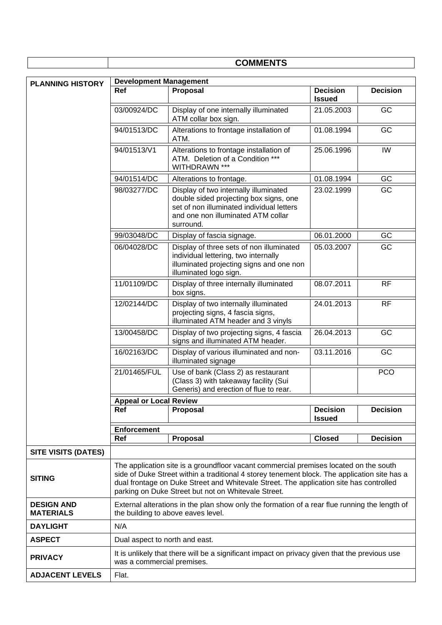|                                       | <b>COMMENTS</b>                                                                                                                                                                                                                                                                                                                        |                                                                                                                                                                                 |                                  |                 |  |
|---------------------------------------|----------------------------------------------------------------------------------------------------------------------------------------------------------------------------------------------------------------------------------------------------------------------------------------------------------------------------------------|---------------------------------------------------------------------------------------------------------------------------------------------------------------------------------|----------------------------------|-----------------|--|
|                                       | <b>Development Management</b>                                                                                                                                                                                                                                                                                                          |                                                                                                                                                                                 |                                  |                 |  |
| <b>PLANNING HISTORY</b>               | <b>Ref</b>                                                                                                                                                                                                                                                                                                                             | Proposal                                                                                                                                                                        | <b>Decision</b><br><b>Issued</b> | <b>Decision</b> |  |
|                                       | 03/00924/DC                                                                                                                                                                                                                                                                                                                            | Display of one internally illuminated<br>ATM collar box sign.                                                                                                                   | 21.05.2003                       | GC              |  |
|                                       | 94/01513/DC                                                                                                                                                                                                                                                                                                                            | Alterations to frontage installation of<br>ATM.                                                                                                                                 | 01.08.1994                       | GC              |  |
|                                       | 94/01513/V1                                                                                                                                                                                                                                                                                                                            | Alterations to frontage installation of<br>ATM. Deletion of a Condition ***<br>WITHDRAWN ***                                                                                    | 25.06.1996                       | IW              |  |
|                                       | 94/01514/DC                                                                                                                                                                                                                                                                                                                            | Alterations to frontage.                                                                                                                                                        | 01.08.1994                       | GC              |  |
|                                       | 98/03277/DC                                                                                                                                                                                                                                                                                                                            | Display of two internally illuminated<br>double sided projecting box signs, one<br>set of non illuminated individual letters<br>and one non illuminated ATM collar<br>surround. | 23.02.1999                       | GC              |  |
|                                       | 99/03048/DC                                                                                                                                                                                                                                                                                                                            | Display of fascia signage.                                                                                                                                                      | 06.01.2000                       | GC              |  |
|                                       | 06/04028/DC                                                                                                                                                                                                                                                                                                                            | Display of three sets of non illuminated<br>individual lettering, two internally<br>illuminated projecting signs and one non<br>illuminated logo sign.                          | 05.03.2007                       | GC              |  |
|                                       | 11/01109/DC                                                                                                                                                                                                                                                                                                                            | Display of three internally illuminated<br>box signs.                                                                                                                           | 08.07.2011                       | <b>RF</b>       |  |
|                                       | 12/02144/DC                                                                                                                                                                                                                                                                                                                            | Display of two internally illuminated<br>projecting signs, 4 fascia signs,<br>illuminated ATM header and 3 vinyls                                                               | 24.01.2013                       | <b>RF</b>       |  |
|                                       | 13/00458/DC                                                                                                                                                                                                                                                                                                                            | Display of two projecting signs, 4 fascia<br>signs and illuminated ATM header.                                                                                                  | 26.04.2013                       | GC              |  |
|                                       | 16/02163/DC                                                                                                                                                                                                                                                                                                                            | Display of various illuminated and non-<br>illuminated signage                                                                                                                  | 03.11.2016                       | GC              |  |
|                                       | 21/01465/FUL                                                                                                                                                                                                                                                                                                                           | Use of bank (Class 2) as restaurant<br>(Class 3) with takeaway facility (Sui<br>Generis) and erection of flue to rear.                                                          |                                  | <b>PCO</b>      |  |
|                                       | <b>Appeal or Local Review</b>                                                                                                                                                                                                                                                                                                          |                                                                                                                                                                                 |                                  |                 |  |
|                                       | Ref                                                                                                                                                                                                                                                                                                                                    | <b>Proposal</b>                                                                                                                                                                 | <b>Decision</b><br><b>Issued</b> | <b>Decision</b> |  |
|                                       | <b>Enforcement</b>                                                                                                                                                                                                                                                                                                                     |                                                                                                                                                                                 |                                  |                 |  |
|                                       | Ref                                                                                                                                                                                                                                                                                                                                    | <b>Proposal</b>                                                                                                                                                                 | <b>Closed</b>                    | <b>Decision</b> |  |
| <b>SITE VISITS (DATES)</b>            |                                                                                                                                                                                                                                                                                                                                        |                                                                                                                                                                                 |                                  |                 |  |
| <b>SITING</b>                         | The application site is a groundfloor vacant commercial premises located on the south<br>side of Duke Street within a traditional 4 storey tenement block. The application site has a<br>dual frontage on Duke Street and Whitevale Street. The application site has controlled<br>parking on Duke Street but not on Whitevale Street. |                                                                                                                                                                                 |                                  |                 |  |
| <b>DESIGN AND</b><br><b>MATERIALS</b> | External alterations in the plan show only the formation of a rear flue running the length of<br>the building to above eaves level.                                                                                                                                                                                                    |                                                                                                                                                                                 |                                  |                 |  |
| <b>DAYLIGHT</b>                       | N/A                                                                                                                                                                                                                                                                                                                                    |                                                                                                                                                                                 |                                  |                 |  |
| <b>ASPECT</b>                         |                                                                                                                                                                                                                                                                                                                                        | Dual aspect to north and east.                                                                                                                                                  |                                  |                 |  |
| <b>PRIVACY</b>                        | It is unlikely that there will be a significant impact on privacy given that the previous use<br>was a commercial premises.                                                                                                                                                                                                            |                                                                                                                                                                                 |                                  |                 |  |
| <b>ADJACENT LEVELS</b>                | Flat.                                                                                                                                                                                                                                                                                                                                  |                                                                                                                                                                                 |                                  |                 |  |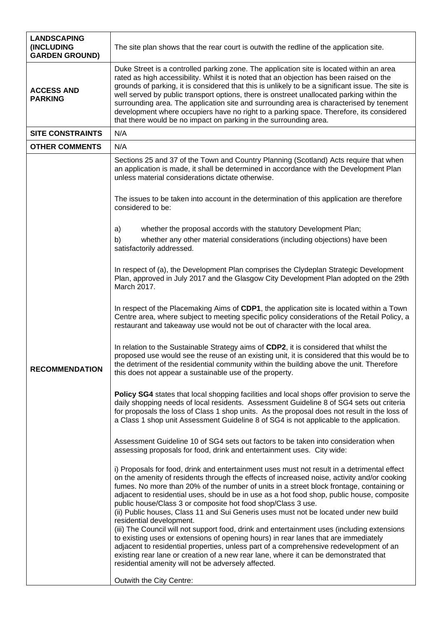| <b>LANDSCAPING</b><br>(INCLUDING<br><b>GARDEN GROUND)</b> | The site plan shows that the rear court is outwith the redline of the application site.                                                                                                                                                                                                                                                                                                                                                                                                                                                                                                                                                                                                                                                                                                                                                                                                                                                                                                                  |  |  |
|-----------------------------------------------------------|----------------------------------------------------------------------------------------------------------------------------------------------------------------------------------------------------------------------------------------------------------------------------------------------------------------------------------------------------------------------------------------------------------------------------------------------------------------------------------------------------------------------------------------------------------------------------------------------------------------------------------------------------------------------------------------------------------------------------------------------------------------------------------------------------------------------------------------------------------------------------------------------------------------------------------------------------------------------------------------------------------|--|--|
| <b>ACCESS AND</b><br><b>PARKING</b>                       | Duke Street is a controlled parking zone. The application site is located within an area<br>rated as high accessibility. Whilst it is noted that an objection has been raised on the<br>grounds of parking, it is considered that this is unlikely to be a significant issue. The site is<br>well served by public transport options, there is onstreet unallocated parking within the<br>surrounding area. The application site and surrounding area is characterised by tenement<br>development where occupiers have no right to a parking space. Therefore, its considered<br>that there would be no impact on parking in the surrounding area.                                                                                                                                                                                                                                                                                                                                                       |  |  |
| <b>SITE CONSTRAINTS</b>                                   | N/A                                                                                                                                                                                                                                                                                                                                                                                                                                                                                                                                                                                                                                                                                                                                                                                                                                                                                                                                                                                                      |  |  |
| <b>OTHER COMMENTS</b>                                     | N/A                                                                                                                                                                                                                                                                                                                                                                                                                                                                                                                                                                                                                                                                                                                                                                                                                                                                                                                                                                                                      |  |  |
|                                                           | Sections 25 and 37 of the Town and Country Planning (Scotland) Acts require that when<br>an application is made, it shall be determined in accordance with the Development Plan<br>unless material considerations dictate otherwise.<br>The issues to be taken into account in the determination of this application are therefore<br>considered to be:                                                                                                                                                                                                                                                                                                                                                                                                                                                                                                                                                                                                                                                  |  |  |
|                                                           |                                                                                                                                                                                                                                                                                                                                                                                                                                                                                                                                                                                                                                                                                                                                                                                                                                                                                                                                                                                                          |  |  |
|                                                           | whether the proposal accords with the statutory Development Plan;<br>a)                                                                                                                                                                                                                                                                                                                                                                                                                                                                                                                                                                                                                                                                                                                                                                                                                                                                                                                                  |  |  |
| <b>RECOMMENDATION</b>                                     | whether any other material considerations (including objections) have been<br>b)<br>satisfactorily addressed.                                                                                                                                                                                                                                                                                                                                                                                                                                                                                                                                                                                                                                                                                                                                                                                                                                                                                            |  |  |
|                                                           | In respect of (a), the Development Plan comprises the Clydeplan Strategic Development<br>Plan, approved in July 2017 and the Glasgow City Development Plan adopted on the 29th<br>March 2017.                                                                                                                                                                                                                                                                                                                                                                                                                                                                                                                                                                                                                                                                                                                                                                                                            |  |  |
|                                                           | In respect of the Placemaking Aims of CDP1, the application site is located within a Town<br>Centre area, where subject to meeting specific policy considerations of the Retail Policy, a<br>restaurant and takeaway use would not be out of character with the local area.                                                                                                                                                                                                                                                                                                                                                                                                                                                                                                                                                                                                                                                                                                                              |  |  |
|                                                           | In relation to the Sustainable Strategy aims of CDP2, it is considered that whilst the<br>proposed use would see the reuse of an existing unit, it is considered that this would be to<br>the detriment of the residential community within the building above the unit. Therefore<br>this does not appear a sustainable use of the property.                                                                                                                                                                                                                                                                                                                                                                                                                                                                                                                                                                                                                                                            |  |  |
|                                                           | Policy SG4 states that local shopping facilities and local shops offer provision to serve the<br>daily shopping needs of local residents. Assessment Guideline 8 of SG4 sets out criteria<br>for proposals the loss of Class 1 shop units. As the proposal does not result in the loss of<br>a Class 1 shop unit Assessment Guideline 8 of SG4 is not applicable to the application.                                                                                                                                                                                                                                                                                                                                                                                                                                                                                                                                                                                                                     |  |  |
|                                                           | Assessment Guideline 10 of SG4 sets out factors to be taken into consideration when<br>assessing proposals for food, drink and entertainment uses. City wide:                                                                                                                                                                                                                                                                                                                                                                                                                                                                                                                                                                                                                                                                                                                                                                                                                                            |  |  |
|                                                           | i) Proposals for food, drink and entertainment uses must not result in a detrimental effect<br>on the amenity of residents through the effects of increased noise, activity and/or cooking<br>fumes. No more than 20% of the number of units in a street block frontage, containing or<br>adjacent to residential uses, should be in use as a hot food shop, public house, composite<br>public house/Class 3 or composite hot food shop/Class 3 use.<br>(ii) Public houses, Class 11 and Sui Generis uses must not be located under new build<br>residential development.<br>(iii) The Council will not support food, drink and entertainment uses (including extensions<br>to existing uses or extensions of opening hours) in rear lanes that are immediately<br>adjacent to residential properties, unless part of a comprehensive redevelopment of an<br>existing rear lane or creation of a new rear lane, where it can be demonstrated that<br>residential amenity will not be adversely affected. |  |  |
|                                                           | Outwith the City Centre:                                                                                                                                                                                                                                                                                                                                                                                                                                                                                                                                                                                                                                                                                                                                                                                                                                                                                                                                                                                 |  |  |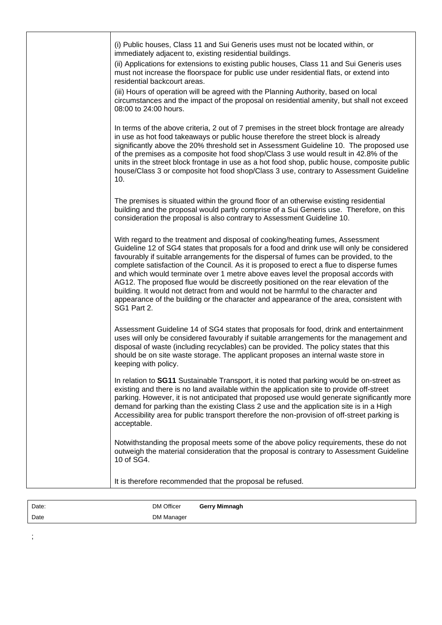| (i) Public houses, Class 11 and Sui Generis uses must not be located within, or<br>immediately adjacent to, existing residential buildings.<br>(ii) Applications for extensions to existing public houses, Class 11 and Sui Generis uses<br>must not increase the floorspace for public use under residential flats, or extend into<br>residential backcourt areas.<br>(iii) Hours of operation will be agreed with the Planning Authority, based on local<br>circumstances and the impact of the proposal on residential amenity, but shall not exceed<br>08:00 to 24:00 hours.                                                                                                                                                                |
|-------------------------------------------------------------------------------------------------------------------------------------------------------------------------------------------------------------------------------------------------------------------------------------------------------------------------------------------------------------------------------------------------------------------------------------------------------------------------------------------------------------------------------------------------------------------------------------------------------------------------------------------------------------------------------------------------------------------------------------------------|
| In terms of the above criteria, 2 out of 7 premises in the street block frontage are already<br>in use as hot food takeaways or public house therefore the street block is already<br>significantly above the 20% threshold set in Assessment Guideline 10. The proposed use<br>of the premises as a composite hot food shop/Class 3 use would result in 42.8% of the<br>units in the street block frontage in use as a hot food shop, public house, composite public<br>house/Class 3 or composite hot food shop/Class 3 use, contrary to Assessment Guideline<br>10.                                                                                                                                                                          |
| The premises is situated within the ground floor of an otherwise existing residential<br>building and the proposal would partly comprise of a Sui Generis use. Therefore, on this<br>consideration the proposal is also contrary to Assessment Guideline 10.                                                                                                                                                                                                                                                                                                                                                                                                                                                                                    |
| With regard to the treatment and disposal of cooking/heating fumes, Assessment<br>Guideline 12 of SG4 states that proposals for a food and drink use will only be considered<br>favourably if suitable arrangements for the dispersal of fumes can be provided, to the<br>complete satisfaction of the Council. As it is proposed to erect a flue to disperse fumes<br>and which would terminate over 1 metre above eaves level the proposal accords with<br>AG12. The proposed flue would be discreetly positioned on the rear elevation of the<br>building. It would not detract from and would not be harmful to the character and<br>appearance of the building or the character and appearance of the area, consistent with<br>SG1 Part 2. |
| Assessment Guideline 14 of SG4 states that proposals for food, drink and entertainment<br>uses will only be considered favourably if suitable arrangements for the management and<br>disposal of waste (including recyclables) can be provided. The policy states that this<br>should be on site waste storage. The applicant proposes an internal waste store in<br>keeping with policy.                                                                                                                                                                                                                                                                                                                                                       |
| In relation to SG11 Sustainable Transport, it is noted that parking would be on-street as<br>existing and there is no land available within the application site to provide off-street<br>parking. However, it is not anticipated that proposed use would generate significantly more<br>demand for parking than the existing Class 2 use and the application site is in a High<br>Accessibility area for public transport therefore the non-provision of off-street parking is<br>acceptable.                                                                                                                                                                                                                                                  |
| Notwithstanding the proposal meets some of the above policy requirements, these do not<br>outweigh the material consideration that the proposal is contrary to Assessment Guideline<br>10 of SG4.                                                                                                                                                                                                                                                                                                                                                                                                                                                                                                                                               |
| It is therefore recommended that the proposal be refused.                                                                                                                                                                                                                                                                                                                                                                                                                                                                                                                                                                                                                                                                                       |

| Date: | DM Officer | Gerry Mimnagh |
|-------|------------|---------------|
| Date  | DM Manager |               |

;